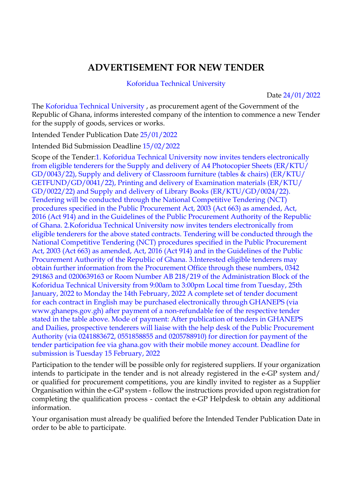## **ADVERTISEMENT FOR NEW TENDER**

## Koforidua Technical University

Date 24/01/2022

The Koforidua Technical University , as procurement agent of the Government of the Republic of Ghana, informs interested company of the intention to commence a new Tender for the supply of goods, services or works.

Intended Tender Publication Date 25/01/2022

Intended Bid Submission Deadline 15/02/2022

Scope of the Tender:1. Koforidua Technical University now invites tenders electronically from eligible tenderers for the Supply and delivery of A4 Photocopier Sheets (ER/KTU/ GD/0043/22), Supply and delivery of Classroom furniture (tables & chairs) (ER/KTU/ GETFUND/GD/0041/22), Printing and delivery of Examination materials (ER/KTU/ GD/0022/22) and Supply and delivery of Library Books (ER/KTU/GD/0024/22). Tendering will be conducted through the National Competitive Tendering (NCT) procedures specified in the Public Procurement Act, 2003 (Act 663) as amended, Act, 2016 (Act 914) and in the Guidelines of the Public Procurement Authority of the Republic of Ghana. 2.Koforidua Technical University now invites tenders electronically from eligible tenderers for the above stated contracts. Tendering will be conducted through the National Competitive Tendering (NCT) procedures specified in the Public Procurement Act, 2003 (Act 663) as amended, Act, 2016 (Act 914) and in the Guidelines of the Public Procurement Authority of the Republic of Ghana. 3.Interested eligible tenderers may obtain further information from the Procurement Office through these numbers, 0342 291863 and 0200639163 or Room Number AB 218/219 of the Administration Block of the Koforidua Technical University from 9:00am to 3:00pm Local time from Tuesday, 25th January, 2022 to Monday the 14th February, 2022 A complete set of tender document for each contract in English may be purchased electronically through GHANEPS (via www.ghaneps.gov.gh) after payment of a non-refundable fee of the respective tender stated in the table above. Mode of payment: After publication of tenders in GHANEPS and Dailies, prospective tenderers will liaise with the help desk of the Public Procurement Authority (via 0241883672, 0551858855 and 0205788910) for direction for payment of the tender participation fee via ghana.gov with their mobile money account. Deadline for submission is Tuesday 15 February, 2022

Participation to the tender will be possible only for registered suppliers. If your organization intends to participate in the tender and is not already registered in the e-GP system and/ or qualified for procurement competitions, you are kindly invited to register as a Supplier Organisation within the e-GP system - follow the instructions provided upon registration for completing the qualification process - contact the e-GP Helpdesk to obtain any additional information.

Your organisation must already be qualified before the Intended Tender Publication Date in order to be able to participate.